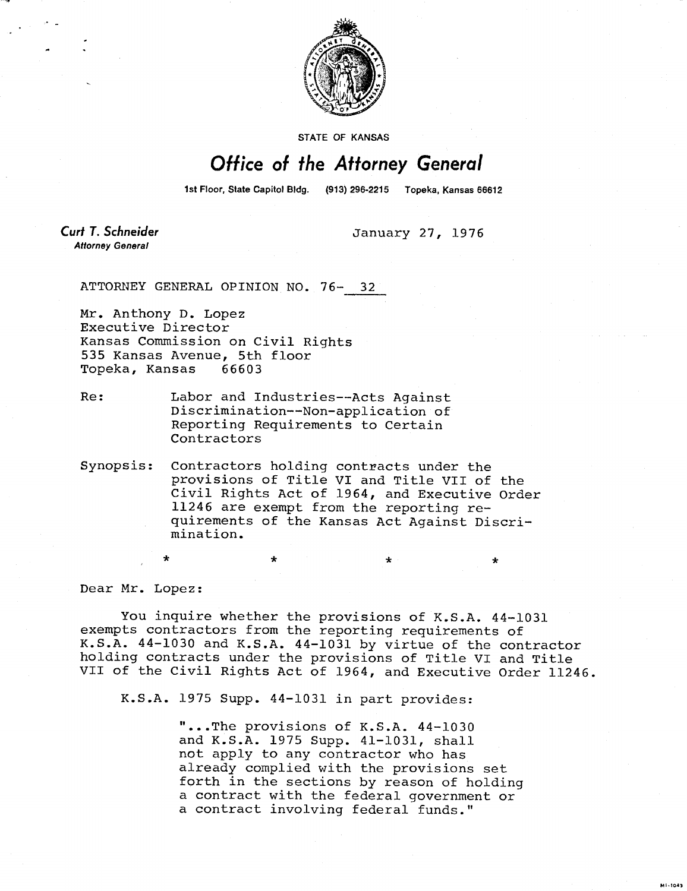

STATE OF KANSAS

## Office of the Attorney General

1st Floor, State Capitol Bldg. (913) 296-2215 Topeka, Kansas 66612

**Curt T. Schneider Attorney General** 

January 27, 1976

ATTORNEY GENERAL OPINION NO. 76- 32

Mr. Anthony D. Lopez Executive Director Kansas Commission on Civil Rights 535 Kansas Avenue, 5th floor Topeka, Kansas 66603

- Re: Labor and Industries--Acts Against Discrimination--Non-application of Reporting Requirements to Certain Contractors
- Synopsis: Contractors holding contracts under the provisions of Title VI and Title VII of the Civil Rights Act of 1964, and Executive Order 11246 are exempt from the reporting requirements of the Kansas Act Against Discrimination.

Dear Mr. Lopez:

You inquire whether the provisions of K.S.A. 44-1031 exempts contractors from the reporting requirements of K.S.A. 44-1030 and K.S.A. 44-1031 by virtue of the contractor holding contracts under the provisions of Title VI and Title VII of the Civil Rights Act of 1964, and Executive Order 11246.

 $\star$   $\star$   $\star$   $\star$ 

K.S.A. 1975 Supp. 44-1031 in part provides:

"...The provisions of K.S.A. 44-1030 and K.S.A. 1975 Supp. 41-1031, shall not apply to any contractor who has already complied with the provisions set forth in the sections by reason of holding a contract with the federal government or a contract involving federal funds."

**MI-1043**